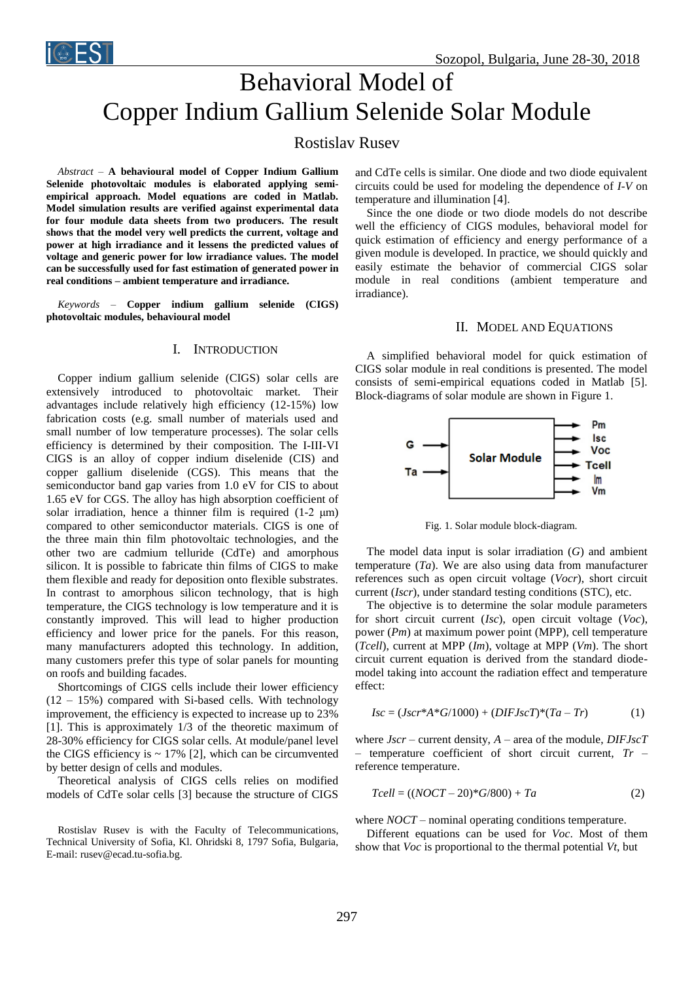

# Behavioral Model of Copper Indium Gallium Selenide Solar Module

## Rostislav Rusev

*Abstract –* **A behavioural model of Copper Indium Gallium Selenide photovoltaic modules is elaborated applying semiempirical approach. Model equations are coded in Matlab. Model simulation results are verified against experimental data for four module data sheets from two producers. The result shows that the model very well predicts the current, voltage and power at high irradiance and it lessens the predicted values of voltage and generic power for low irradiance values. The model can be successfully used for fast estimation of generated power in real conditions – ambient temperature and irradiance.**

*Keywords –* **Copper indium gallium selenide (CIGS) photovoltaic modules, behavioural model**

### I. INTRODUCTION

Copper indium gallium selenide (CIGS) solar cells are extensively introduced to photovoltaic market. Their advantages include relatively high efficiency (12-15%) low fabrication costs (e.g. small number of materials used and small number of low temperature processes). The solar cells efficiency is determined by their composition. The I-III-VI CIGS is an alloy of copper indium diselenide (CIS) and copper gallium diselenide (CGS). This means that the semiconductor band gap varies from 1.0 eV for CIS to about 1.65 eV for CGS. The alloy has high absorption coefficient of solar irradiation, hence a thinner film is required (1-2 μm) compared to other semiconductor materials. CIGS is one of the three main thin film photovoltaic technologies, and the other two are cadmium telluride (CdTe) and amorphous silicon. It is possible to fabricate thin films of CIGS to make them flexible and ready for deposition onto flexible substrates. In contrast to amorphous silicon technology, that is high temperature, the CIGS technology is low temperature and it is constantly improved. This will lead to higher production efficiency and lower price for the panels. For this reason, many manufacturers adopted this technology. In addition, many customers prefer this type of solar panels for mounting on roofs and building facades.

Shortcomings of CIGS cells include their lower efficiency  $(12 - 15%)$  compared with Si-based cells. With technology improvement, the efficiency is expected to increase up to 23% [1]. This is approximately 1/3 of the theoretic maximum of 28-30% efficiency for CIGS solar cells. At module/panel level the CIGS efficiency is  $\sim$  17% [2], which can be circumvented by better design of cells and modules.

Theoretical analysis of CIGS cells relies on modified models of CdTe solar cells [3] because the structure of CIGS

Rostislav Rusev is with the Faculty of Telecommunications, Technical University of Sofia, Kl. Ohridski 8, 1797 Sofia, Bulgaria, E-mail: rusev@ecad.tu-sofia.bg.

and CdTe cells is similar. One diode and two diode equivalent circuits could be used for modeling the dependence of *I*-*V* on temperature and illumination [4].

Since the one diode or two diode models do not describe well the efficiency of CIGS modules, behavioral model for quick estimation of efficiency and energy performance of a given module is developed. In practice, we should quickly and easily estimate the behavior of commercial CIGS solar module in real conditions (ambient temperature and irradiance).

#### II. MODEL AND EQUATIONS

A simplified behavioral model for quick estimation of CIGS solar module in real conditions is presented. The model consists of semi-empirical equations coded in Matlab [5]. Block-diagrams of solar module are shown in Figure 1.



Fig. 1. Solar module block-diagram.

The model data input is solar irradiation (*G*) and ambient temperature (*Ta*). We are also using data from manufacturer references such as open circuit voltage (*Vocr*), short circuit current (*Iscr*), under standard testing conditions (STC), etc.

The objective is to determine the solar module parameters for short circuit current (*Isc*), open circuit voltage (*Voc*), power (*Pm*) at maximum power point (MPP), cell temperature (*Tcell*), current at MPP (*Im*), voltage at MPP (*Vm*). The short circuit current equation is derived from the standard diodemodel taking into account the radiation effect and temperature effect:

$$
Isc = (Jscr^*A*G/1000) + (DIFJscT)^*(Ta - Tr)
$$
 (1)

where *Jscr* – current density, *A* – area of the module, *DIFJscT* – temperature coefficient of short circuit current, *Tr* – reference temperature.

$$
Tcell = ((NOCT - 20)*G/800) + Ta
$$
 (2)

where *NOCT* – nominal operating conditions temperature.

Different equations can be used for *Voc*. Most of them show that *Voc* is proportional to the thermal potential *Vt*, but